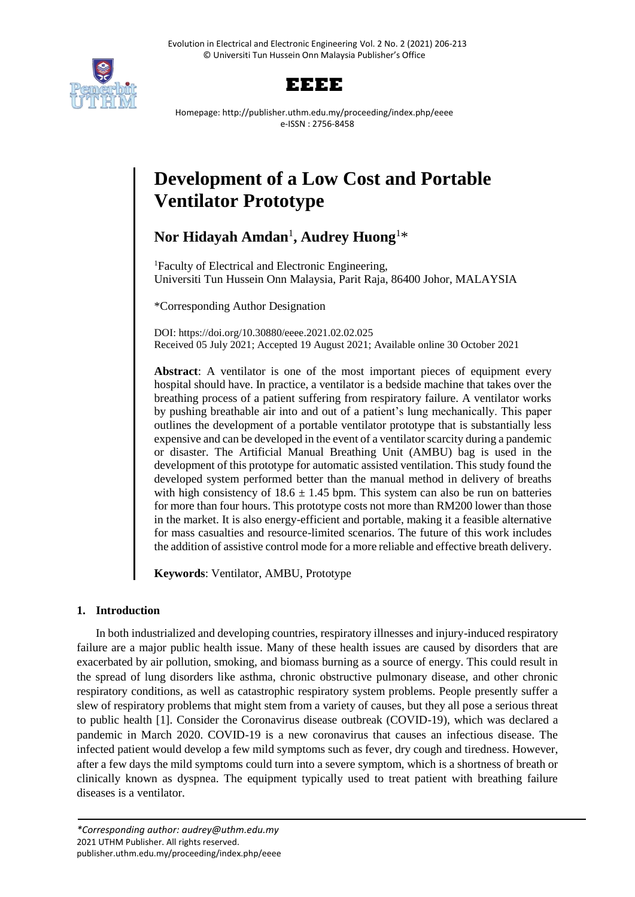



Homepage: http://publisher.uthm.edu.my/proceeding/index.php/eeee e-ISSN : 2756-8458

# **Development of a Low Cost and Portable Ventilator Prototype**

# **Nor Hidayah Amdan**<sup>1</sup> **, Audrey Huong**<sup>1</sup>\*

<sup>1</sup>Faculty of Electrical and Electronic Engineering, Universiti Tun Hussein Onn Malaysia, Parit Raja, 86400 Johor, MALAYSIA

\*Corresponding Author Designation

DOI: https://doi.org/10.30880/eeee.2021.02.02.025 Received 05 July 2021; Accepted 19 August 2021; Available online 30 October 2021

**Abstract**: A ventilator is one of the most important pieces of equipment every hospital should have. In practice, a ventilator is a bedside machine that takes over the breathing process of a patient suffering from respiratory failure. A ventilator works by pushing breathable air into and out of a patient's lung mechanically. This paper outlines the development of a portable ventilator prototype that is substantially less expensive and can be developed in the event of a ventilator scarcity during a pandemic or disaster. The Artificial Manual Breathing Unit (AMBU) bag is used in the development of this prototype for automatic assisted ventilation. This study found the developed system performed better than the manual method in delivery of breaths with high consistency of  $18.6 \pm 1.45$  bpm. This system can also be run on batteries for more than four hours. This prototype costs not more than RM200 lower than those in the market. It is also energy-efficient and portable, making it a feasible alternative for mass casualties and resource-limited scenarios. The future of this work includes the addition of assistive control mode for a more reliable and effective breath delivery.

**Keywords**: Ventilator, AMBU, Prototype

# **1. Introduction**

In both industrialized and developing countries, respiratory illnesses and injury-induced respiratory failure are a major public health issue. Many of these health issues are caused by disorders that are exacerbated by air pollution, smoking, and biomass burning as a source of energy. This could result in the spread of lung disorders like asthma, chronic obstructive pulmonary disease, and other chronic respiratory conditions, as well as catastrophic respiratory system problems. People presently suffer a slew of respiratory problems that might stem from a variety of causes, but they all pose a serious threat to public health [1]. Consider the Coronavirus disease outbreak (COVID-19), which was declared a pandemic in March 2020. COVID-19 is a new coronavirus that causes an infectious disease. The infected patient would develop a few mild symptoms such as fever, dry cough and tiredness. However, after a few days the mild symptoms could turn into a severe symptom, which is a shortness of breath or clinically known as dyspnea. The equipment typically used to treat patient with breathing failure diseases is a ventilator.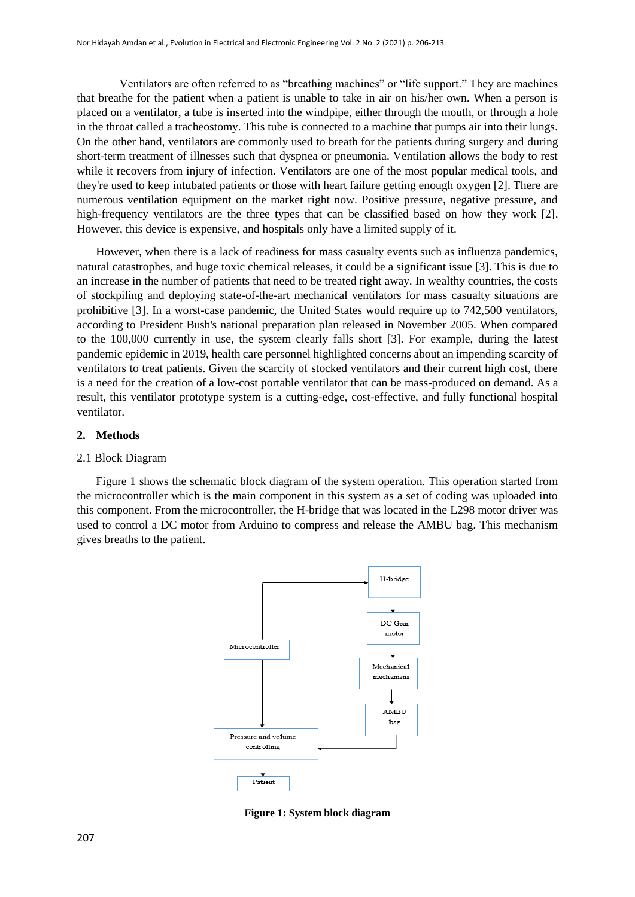Ventilators are often referred to as "breathing machines" or "life support." They are machines that breathe for the patient when a patient is unable to take in air on his/her own. When a person is placed on a ventilator, a tube is inserted into the windpipe, either through the mouth, or through a hole in the throat called a tracheostomy. This tube is connected to a machine that pumps air into their lungs. On the other hand, ventilators are commonly used to breath for the patients during surgery and during short-term treatment of illnesses such that dyspnea or pneumonia. Ventilation allows the body to rest while it recovers from injury of infection. Ventilators are one of the most popular medical tools, and they're used to keep intubated patients or those with heart failure getting enough oxygen [2]. There are numerous ventilation equipment on the market right now. Positive pressure, negative pressure, and high-frequency ventilators are the three types that can be classified based on how they work [2]. However, this device is expensive, and hospitals only have a limited supply of it.

However, when there is a lack of readiness for mass casualty events such as influenza pandemics, natural catastrophes, and huge toxic chemical releases, it could be a significant issue [3]. This is due to an increase in the number of patients that need to be treated right away. In wealthy countries, the costs of stockpiling and deploying state-of-the-art mechanical ventilators for mass casualty situations are prohibitive [3]. In a worst-case pandemic, the United States would require up to 742,500 ventilators, according to President Bush's national preparation plan released in November 2005. When compared to the 100,000 currently in use, the system clearly falls short [3]. For example, during the latest pandemic epidemic in 2019, health care personnel highlighted concerns about an impending scarcity of ventilators to treat patients. Given the scarcity of stocked ventilators and their current high cost, there is a need for the creation of a low-cost portable ventilator that can be mass-produced on demand. As a result, this ventilator prototype system is a cutting-edge, cost-effective, and fully functional hospital ventilator.

#### **2. Methods**

#### 2.1 Block Diagram

Figure 1 shows the schematic block diagram of the system operation. This operation started from the microcontroller which is the main component in this system as a set of coding was uploaded into this component. From the microcontroller, the H-bridge that was located in the L298 motor driver was used to control a DC motor from Arduino to compress and release the AMBU bag. This mechanism gives breaths to the patient.



**Figure 1: System block diagram**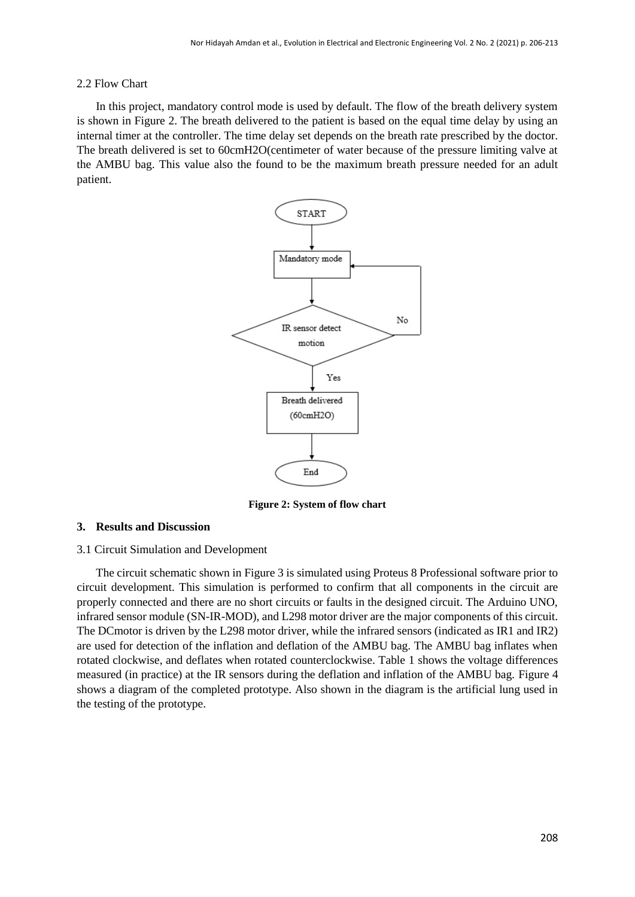#### 2.2 Flow Chart

In this project, mandatory control mode is used by default. The flow of the breath delivery system is shown in Figure 2. The breath delivered to the patient is based on the equal time delay by using an internal timer at the controller. The time delay set depends on the breath rate prescribed by the doctor. The breath delivered is set to 60cmH2O(centimeter of water because of the pressure limiting valve at the AMBU bag. This value also the found to be the maximum breath pressure needed for an adult patient.



**Figure 2: System of flow chart**

#### **3. Results and Discussion**

#### 3.1 Circuit Simulation and Development

The circuit schematic shown in Figure 3 is simulated using Proteus 8 Professional software prior to circuit development. This simulation is performed to confirm that all components in the circuit are properly connected and there are no short circuits or faults in the designed circuit. The Arduino UNO, infrared sensor module (SN-IR-MOD), and L298 motor driver are the major components of this circuit. The DCmotor is driven by the L298 motor driver, while the infrared sensors (indicated as IR1 and IR2) are used for detection of the inflation and deflation of the AMBU bag. The AMBU bag inflates when rotated clockwise, and deflates when rotated counterclockwise. Table 1 shows the voltage differences measured (in practice) at the IR sensors during the deflation and inflation of the AMBU bag. Figure 4 shows a diagram of the completed prototype. Also shown in the diagram is the artificial lung used in the testing of the prototype.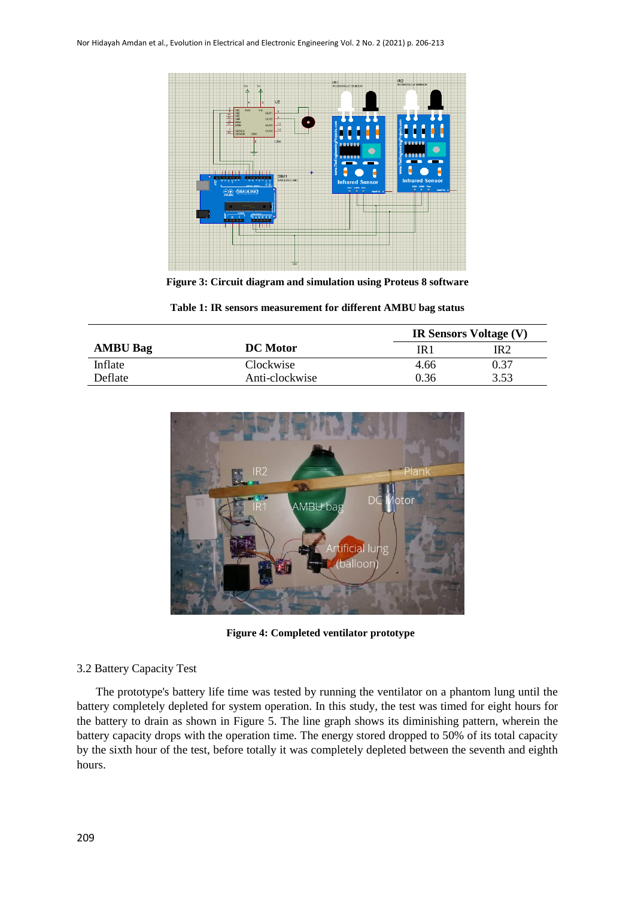

**Figure 3: Circuit diagram and simulation using Proteus 8 software**

|  | Table 1: IR sensors measurement for different AMBU bag status |  |  |  |  |
|--|---------------------------------------------------------------|--|--|--|--|
|--|---------------------------------------------------------------|--|--|--|--|

|                 |                 | <b>IR Sensors Voltage (V)</b> |       |  |
|-----------------|-----------------|-------------------------------|-------|--|
| <b>AMBU Bag</b> | <b>DC</b> Motor | IR 1                          | IR 2. |  |
| Inflate         | Clockwise       | 4.66                          | 0.37  |  |
| Deflate         | Anti-clockwise  | 0.36                          | 3.53  |  |



**Figure 4: Completed ventilator prototype**

# 3.2 Battery Capacity Test

The prototype's battery life time was tested by running the ventilator on a phantom lung until the battery completely depleted for system operation. In this study, the test was timed for eight hours for the battery to drain as shown in Figure 5. The line graph shows its diminishing pattern, wherein the battery capacity drops with the operation time. The energy stored dropped to 50% of its total capacity by the sixth hour of the test, before totally it was completely depleted between the seventh and eighth hours.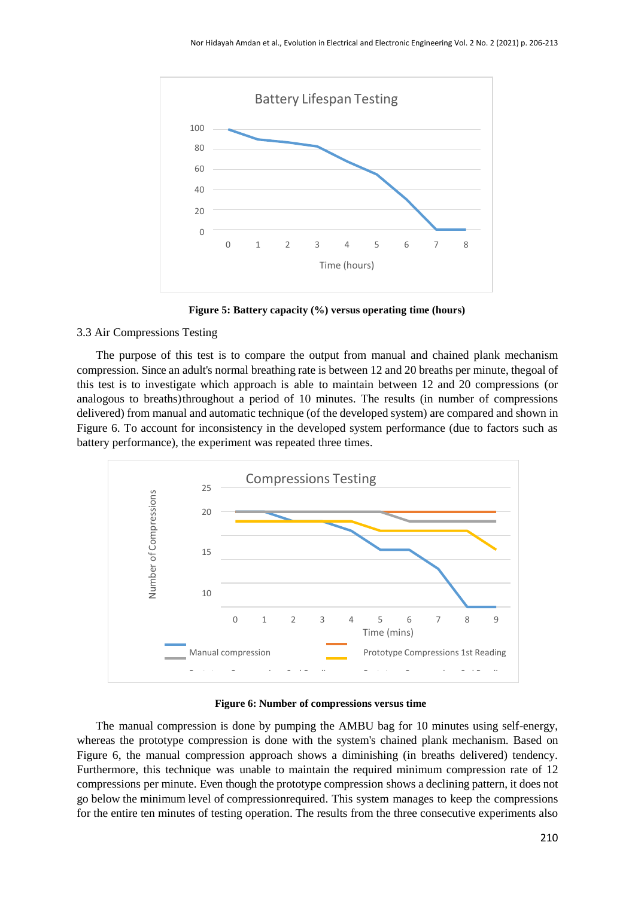

**Figure 5: Battery capacity (%) versus operating time (hours)**

### 3.3 Air Compressions Testing

The purpose of this test is to compare the output from manual and chained plank mechanism compression. Since an adult's normal breathing rate is between 12 and 20 breaths per minute, thegoal of this test is to investigate which approach is able to maintain between 12 and 20 compressions (or analogous to breaths)throughout a period of 10 minutes. The results (in number of compressions delivered) from manual and automatic technique (of the developed system) are compared and shown in Figure 6. To account for inconsistency in the developed system performance (due to factors such as battery performance), the experiment was repeated three times.



**Figure 6: Number of compressions versus time**

The manual compression is done by pumping the AMBU bag for 10 minutes using self-energy, whereas the prototype compression is done with the system's chained plank mechanism. Based on Figure 6, the manual compression approach shows a diminishing (in breaths delivered) tendency. Furthermore, this technique was unable to maintain the required minimum compression rate of 12 compressions per minute. Even though the prototype compression shows a declining pattern, it does not go below the minimum level of compressionrequired. This system manages to keep the compressions for the entire ten minutes of testing operation. The results from the three consecutive experiments also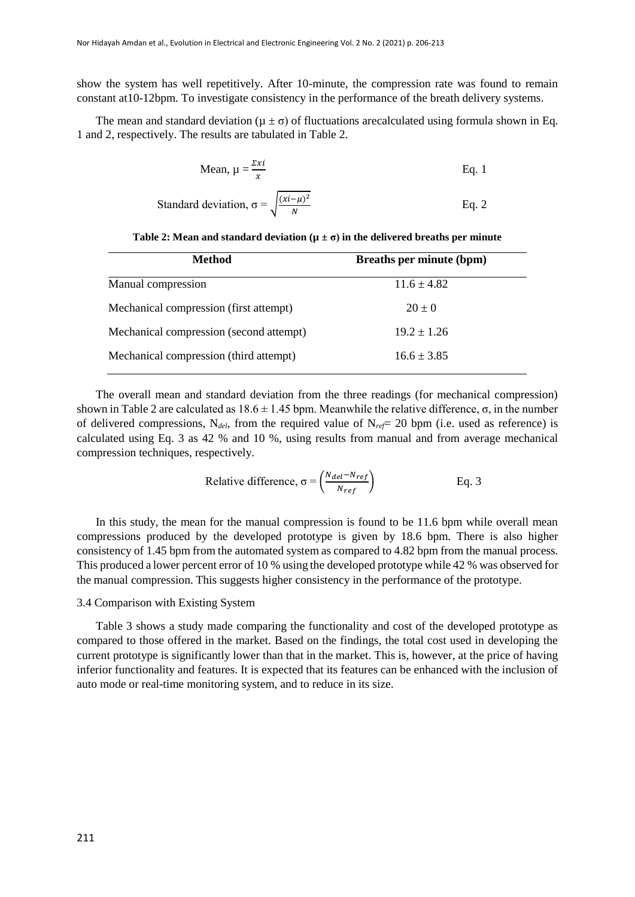show the system has well repetitively. After 10-minute, the compression rate was found to remain constant at10-12bpm. To investigate consistency in the performance of the breath delivery systems.

The mean and standard deviation ( $\mu \pm \sigma$ ) of fluctuations are calculated using formula shown in Eq. 1 and 2, respectively. The results are tabulated in Table 2.

Mean, 
$$
\mu = \frac{\Sigma x i}{x}
$$
 Eq. 1

Standard deviation, 
$$
\sigma = \sqrt{\frac{(xi - \mu)^2}{N}}
$$
 Eq. 2

| <b>Method</b>                           | <b>Breaths per minute (bpm)</b> |
|-----------------------------------------|---------------------------------|
| Manual compression                      | $11.6 \pm 4.82$                 |
| Mechanical compression (first attempt)  | $20 \pm 0$                      |
| Mechanical compression (second attempt) | $19.2 \pm 1.26$                 |
| Mechanical compression (third attempt)  | $16.6 \pm 3.85$                 |

The overall mean and standard deviation from the three readings (for mechanical compression) shown in Table 2 are calculated as  $18.6 \pm 1.45$  bpm. Meanwhile the relative difference,  $\sigma$ , in the number of delivered compressions,  $N_{del}$ , from the required value of  $N_{ref}= 20$  bpm (i.e. used as reference) is calculated using Eq. 3 as 42 % and 10 %, using results from manual and from average mechanical compression techniques, respectively.

Relative difference, 
$$
\sigma = \left(\frac{N_{del} - N_{ref}}{N_{ref}}\right)
$$
 Eq. 3

In this study, the mean for the manual compression is found to be 11.6 bpm while overall mean compressions produced by the developed prototype is given by 18.6 bpm. There is also higher consistency of 1.45 bpm from the automated system as compared to 4.82 bpm from the manual process. This produced a lower percent error of 10 % using the developed prototype while 42 % was observed for the manual compression. This suggests higher consistency in the performance of the prototype.

#### 3.4 Comparison with Existing System

Table 3 shows a study made comparing the functionality and cost of the developed prototype as compared to those offered in the market. Based on the findings, the total cost used in developing the current prototype is significantly lower than that in the market. This is, however, at the price of having inferior functionality and features. It is expected that its features can be enhanced with the inclusion of auto mode or real-time monitoring system, and to reduce in its size.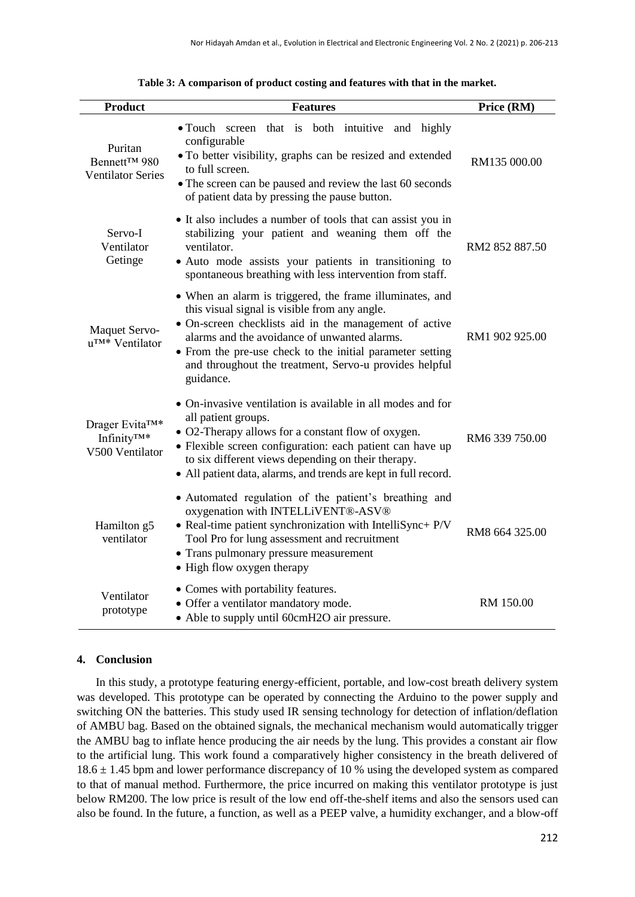| <b>Product</b>                                                            | <b>Features</b>                                                                                                                                                                                                                                                                                                                                         | Price (RM)     |
|---------------------------------------------------------------------------|---------------------------------------------------------------------------------------------------------------------------------------------------------------------------------------------------------------------------------------------------------------------------------------------------------------------------------------------------------|----------------|
| Puritan<br>Bennett™ 980<br><b>Ventilator Series</b>                       | • Touch screen that is both intuitive<br>and highly<br>configurable<br>• To better visibility, graphs can be resized and extended<br>to full screen.<br>• The screen can be paused and review the last 60 seconds<br>of patient data by pressing the pause button.                                                                                      | RM135 000.00   |
| Servo-I<br>Ventilator<br>Getinge                                          | • It also includes a number of tools that can assist you in<br>stabilizing your patient and weaning them off the<br>ventilator.<br>• Auto mode assists your patients in transitioning to<br>spontaneous breathing with less intervention from staff.                                                                                                    | RM2 852 887.50 |
| <b>Maquet Servo-</b><br>u <sup>TM*</sup> Ventilator                       | • When an alarm is triggered, the frame illuminates, and<br>this visual signal is visible from any angle.<br>• On-screen checklists aid in the management of active<br>alarms and the avoidance of unwanted alarms.<br>• From the pre-use check to the initial parameter setting<br>and throughout the treatment, Servo-u provides helpful<br>guidance. | RM1 902 925.00 |
| Drager Evita <sup>TM*</sup><br>Infinity <sup>TM*</sup><br>V500 Ventilator | • On-invasive ventilation is available in all modes and for<br>all patient groups.<br>• O2-Therapy allows for a constant flow of oxygen.<br>· Flexible screen configuration: each patient can have up<br>to six different views depending on their therapy.<br>• All patient data, alarms, and trends are kept in full record.                          | RM6 339 750.00 |
| Hamilton g5<br>ventilator                                                 | • Automated regulation of the patient's breathing and<br>oxygenation with INTELLiVENT®-ASV®<br>• Real-time patient synchronization with IntelliSync+ P/V<br>Tool Pro for lung assessment and recruitment<br>• Trans pulmonary pressure measurement<br>• High flow oxygen therapy                                                                        | RM8 664 325.00 |
| Ventilator<br>prototype                                                   | • Comes with portability features.<br>• Offer a ventilator mandatory mode.<br>• Able to supply until 60cmH2O air pressure.                                                                                                                                                                                                                              | RM 150.00      |

| Table 3: A comparison of product costing and features with that in the market. |  |  |
|--------------------------------------------------------------------------------|--|--|
|                                                                                |  |  |

#### **4. Conclusion**

In this study, a prototype featuring energy-efficient, portable, and low-cost breath delivery system was developed. This prototype can be operated by connecting the Arduino to the power supply and switching ON the batteries. This study used IR sensing technology for detection of inflation/deflation of AMBU bag. Based on the obtained signals, the mechanical mechanism would automatically trigger the AMBU bag to inflate hence producing the air needs by the lung. This provides a constant air flow to the artificial lung. This work found a comparatively higher consistency in the breath delivered of  $18.6 \pm 1.45$  bpm and lower performance discrepancy of 10 % using the developed system as compared to that of manual method. Furthermore, the price incurred on making this ventilator prototype is just below RM200. The low price is result of the low end off-the-shelf items and also the sensors used can also be found. In the future, a function, as well as a PEEP valve, a humidity exchanger, and a blow-off